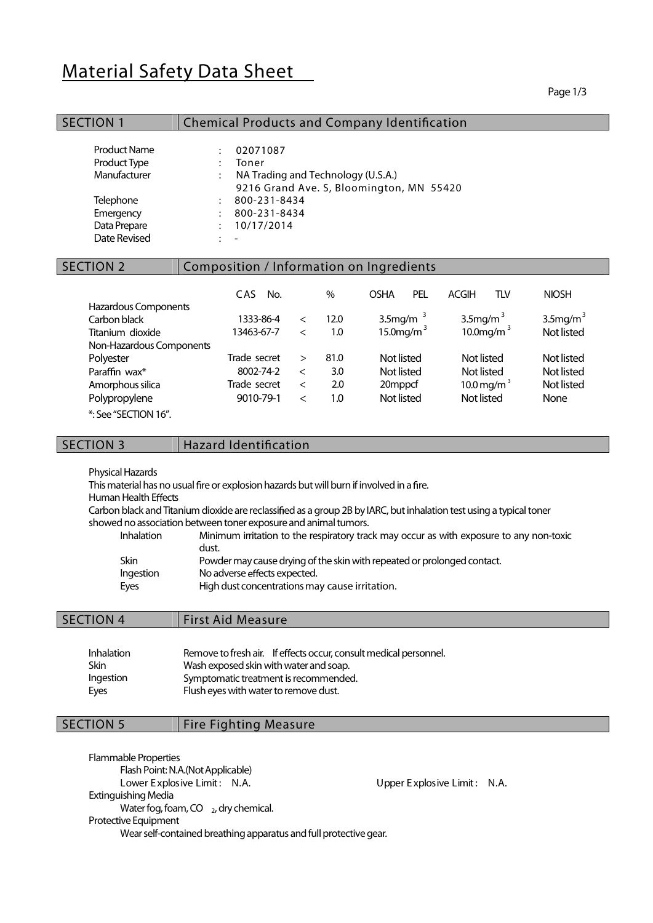# Material Safety Data Sheet

#### Page 1/3

| <b>SECTION 1</b>                                                                                              | <b>Chemical Products and Company Identification</b>                                                                                                                                                                 |                                   |                           |                                                   |            |                                        |                |                                                |
|---------------------------------------------------------------------------------------------------------------|---------------------------------------------------------------------------------------------------------------------------------------------------------------------------------------------------------------------|-----------------------------------|---------------------------|---------------------------------------------------|------------|----------------------------------------|----------------|------------------------------------------------|
| <b>Product Name</b><br>Product Type<br>Manufacturer<br>Telephone<br>Emergency<br>Data Prepare<br>Date Revised | 02071087<br>$\ddot{\phantom{a}}$<br>Toner<br>NA Trading and Technology (U.S.A.)<br>$\ddot{\phantom{a}}$<br>9216 Grand Ave. S, Bloomington, MN 55420<br>800-231-8434<br>$\ddot{\cdot}$<br>800-231-8434<br>10/17/2014 |                                   |                           |                                                   |            |                                        |                |                                                |
| <b>SECTION 2</b>                                                                                              | Composition / Information on Ingredients                                                                                                                                                                            |                                   |                           |                                                   |            |                                        |                |                                                |
| Hazardous Components                                                                                          | CAS.<br>No.                                                                                                                                                                                                         |                                   | $\%$                      | <b>OSHA</b>                                       | <b>PEL</b> | <b>ACGIH</b>                           | <b>TLV</b>     | <b>NIOSH</b>                                   |
| Carbon black<br>Titanium dioxide                                                                              | 1333-86-4<br>13463-67-7                                                                                                                                                                                             | $\lt$<br>$\lt$                    | 12.0<br>1.0               | 3.5mg/m $3$<br>15.0mg/m $3$                       |            | 3.5 $mg/m3$                            | 10.0 mg/m $3$  | 3.5 $mg/m3$<br>Not listed                      |
| Non-Hazardous Components                                                                                      |                                                                                                                                                                                                                     |                                   |                           |                                                   |            |                                        |                |                                                |
| Polyester<br>Paraffin wax*<br>Amorphous silica<br>Polypropylene                                               | Trade secret<br>8002-74-2<br>Trade secret<br>9010-79-1                                                                                                                                                              | $\geq$<br>$\lt$<br>$\lt$<br>$\lt$ | 81.0<br>3.0<br>2.0<br>1.0 | Not listed<br>Not listed<br>20mppcf<br>Not listed |            | Not listed<br>Not listed<br>Not listed | 10.0 mg/m $^3$ | Not listed<br>Not listed<br>Not listed<br>None |

\*: See "SECTION16".

 $SECTION 3$  Hazard Identification

Physical Hazards

This material has no usual fire or explosion hazards but will burn if involved in a fire.

Human Health Effects

Carbon black and Titanium dioxide are reclassified as a group 2B by IARC, but inhalation test using a typical toner showed no association between toner exposure and animal tumors.

| Minimum irritation to the respiratory track may occur as with exposure to any non-toxic<br><b>Inhalation</b> |  |
|--------------------------------------------------------------------------------------------------------------|--|
| dust.                                                                                                        |  |
| Skin<br>Powder may cause drying of the skin with repeated or prolonged contact.                              |  |
| No adverse effects expected.<br>Ingestion                                                                    |  |
| High dust concentrations may cause irritation.<br>Eyes                                                       |  |

# SECTION 4 | First Aid Measure

| <b>Inhalation</b> | Remove to fresh air. If effects occur, consult medical personnel. |
|-------------------|-------------------------------------------------------------------|
| Skin              | Wash exposed skin with water and soap.                            |
| Ingestion         | Symptomatic treatment is recommended.                             |
| Eyes              | Flush eyes with water to remove dust.                             |

# | SECTION 5 | Fire Fighting Measure

Flammable Properties Flash Point: N.A.(Not Applicable) Lower Explosive Limit: N.A. Cower Explosive Limit: N.A. Extinguishing Media Water fog, foam,  $CO_{2}$ , dry chemical. Protective Equipment Wear self-contained breathing apparatus and full protective gear.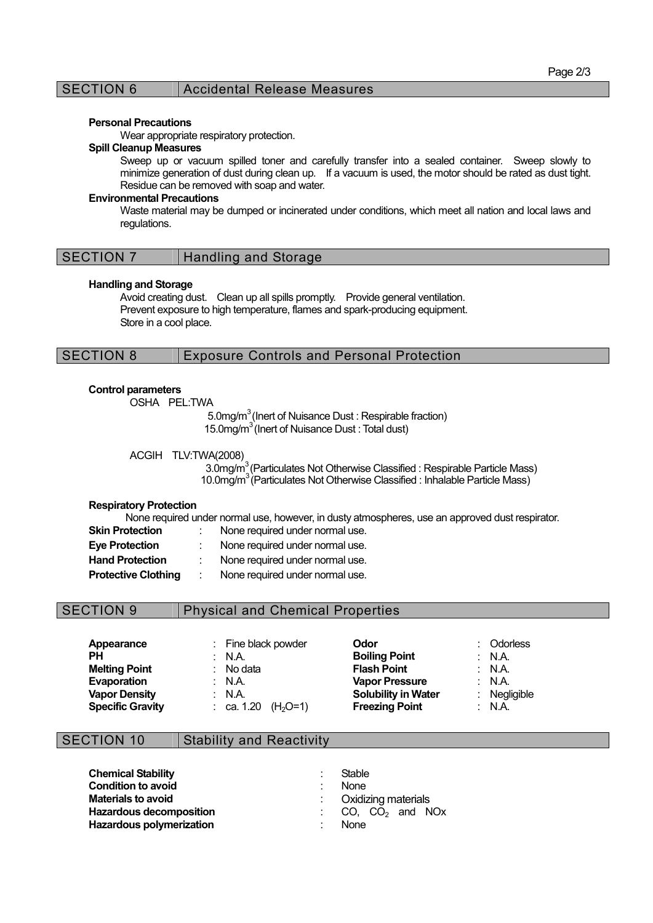# SECTION 6 | Accidental Release Measures

#### Personal Precautions

Wear appropriate respiratory protection.

#### Spill Cleanup Measures

Sweep up or vacuum spilled toner and carefully transfer into a sealed container. Sweep slowly to minimize generation of dust during clean up. If a vacuum is used, the motor should be rated as dust tight. Residue can be removed with soap and water.

### Environmental Precautions

Waste material may be dumped or incinerated under conditions, which meet all nation and local laws and regulations.

#### Handling and Storage

Avoid creating dust. Clean up all spills promptly. Provide general ventilation. Prevent exposure to high temperature, flames and spark-producing equipment. Store in a cool place.

# SECTION 8 Exposure Controls and Personal Protection

### Control parameters

OSHA PEL:TWA

5.0mg/m<sup>3</sup> (Inert of Nuisance Dust : Respirable fraction) 15.0mg/m<sup>3</sup> (Inert of Nuisance Dust : Total dust)

#### ACGIH TLV:TWA(2008)

3.0mg/m<sup>3</sup> (Particulates Not Otherwise Classified : Respirable Particle Mass) 10.0mg/m<sup>3</sup> (Particulates Not Otherwise Classified : Inhalable Particle Mass)

# Respiratory Protection

None required under normal use, however, in dusty atmospheres, use an approved dust respirator.<br>
Skip Brotoction is a blog required under permal use. Skin Protection : None required under normal use.

| ONII FIULGULIUII           | <u>I'U IC I CUU CU U IUCI I IUI I I AI USC.</u> |
|----------------------------|-------------------------------------------------|
| Eye Protection             | None required under normal use.                 |
| <b>Hand Protection</b>     | None required under normal use.                 |
| <b>Protective Clothing</b> | None required under normal use.                 |

# SECTION 9 Physical and Chemical Properties

| Appearance              | : Fine black powder     | Odor                       | : Odorless        |
|-------------------------|-------------------------|----------------------------|-------------------|
| PН                      | : $NA$ .                | <b>Boiling Point</b>       | $\therefore$ N.A. |
| <b>Melting Point</b>    | $:$ No data             | <b>Flash Point</b>         | : $NA$            |
| Evaporation             | : $NA$                  | <b>Vapor Pressure</b>      | : N.A.            |
| <b>Vapor Density</b>    | : $NA$                  | <b>Solubility in Water</b> | : Negligible      |
| <b>Specific Gravity</b> | : ca. 1.20<br>$(H2O=1)$ | <b>Freezing Point</b>      | : $NA$            |

# SECTION 10 Stability and Reactivity

Chemical Stability **Example 2018** Stable **Condition to avoid in the condition of a state of the condition of the condition of the Condition Condition Condition Condition Condition Condition Condition Condition Condition Condition Condition Condition Condition Con Hazardous decomposition**  $\qquad \qquad \therefore$  CO, CO<sub>2</sub> and NOx<br> **Hazardous polymerization**  $\qquad \qquad \therefore$  None Hazardous polymerization

: Oxidizing materials